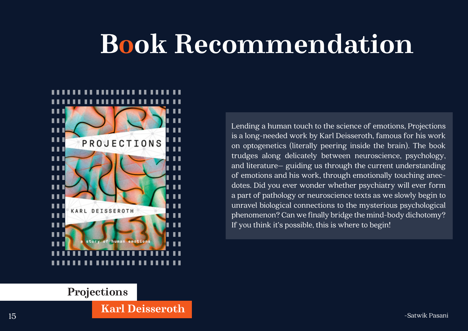## **Projections**

**Karl Deisseroth**

Lending a human touch to the science of emotions, Projections is a long-needed work by Karl Deisseroth, famous for his work on optogenetics (literally peering inside the brain). The book trudges along delicately between neuroscience, psychology, and literature– guiding us through the current understanding of emotions and his work, through emotionally touching anecdotes. Did you ever wonder whether psychiatry will ever form a part of pathology or neuroscience texts as we slowly begin to unravel biological connections to the mysterious psychological phenomenon? Can we finally bridge the mind-body dichotomy? If you think it's possible, this is where to begin!

## **Book Recommendation**